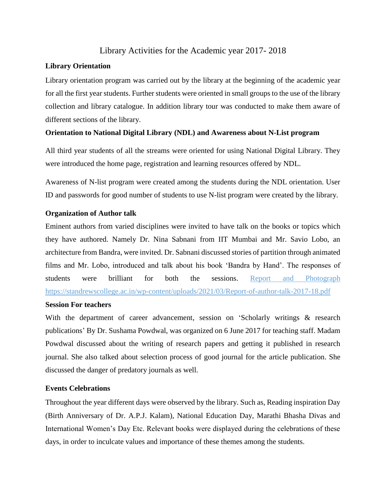# Library Activities for the Academic year 2017- 2018

### **Library Orientation**

Library orientation program was carried out by the library at the beginning of the academic year for all the first year students. Further students were oriented in small groups to the use of the library collection and library catalogue. In addition library tour was conducted to make them aware of different sections of the library.

### **Orientation to National Digital Library (NDL) and Awareness about N-List program**

All third year students of all the streams were oriented for using National Digital Library. They were introduced the home page, registration and learning resources offered by NDL.

Awareness of N-list program were created among the students during the NDL orientation. User ID and passwords for good number of students to use N-list program were created by the library.

### **Organization of Author talk**

Eminent authors from varied disciplines were invited to have talk on the books or topics which they have authored. Namely Dr. Nina Sabnani from IIT Mumbai and Mr. Savio Lobo, an architecture from Bandra, were invited. Dr. Sabnani discussed stories of partition through animated films and Mr. Lobo, introduced and talk about his book 'Bandra by Hand'. The responses of students were brilliant for both the sessions. Report and Photograph https://standrewscollege.ac.in/wp-content/uploads/2021/03/Report-of-author-talk-2017-18.pdf

#### **Session For teachers**

With the department of career advancement, session on 'Scholarly writings & research publications' By Dr. Sushama Powdwal, was organized on 6 June 2017 for teaching staff. Madam Powdwal discussed about the writing of research papers and getting it published in research journal. She also talked about selection process of good journal for the article publication. She discussed the danger of predatory journals as well.

#### **Events Celebrations**

Throughout the year different days were observed by the library. Such as, Reading inspiration Day (Birth Anniversary of Dr. A.P.J. Kalam), National Education Day, Marathi Bhasha Divas and International Women's Day Etc. Relevant books were displayed during the celebrations of these days, in order to inculcate values and importance of these themes among the students.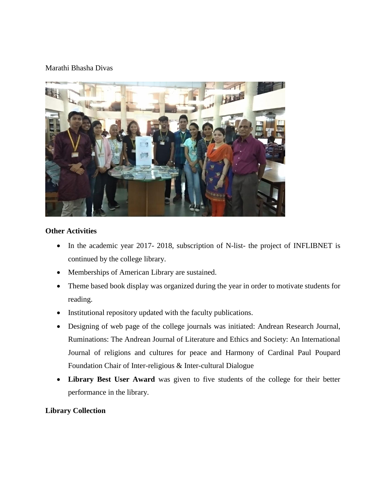# Marathi Bhasha Divas



### **Other Activities**

- In the academic year 2017- 2018, subscription of N-list- the project of INFLIBNET is continued by the college library.
- Memberships of American Library are sustained.
- Theme based book display was organized during the year in order to motivate students for reading.
- Institutional repository updated with the faculty publications.
- Designing of web page of the college journals was initiated: Andrean Research Journal, Ruminations: The Andrean Journal of Literature and Ethics and Society: An International Journal of religions and cultures for peace and Harmony of Cardinal Paul Poupard Foundation Chair of Inter-religious & Inter-cultural Dialogue
- **Library Best User Award** was given to five students of the college for their better performance in the library.

# **Library Collection**